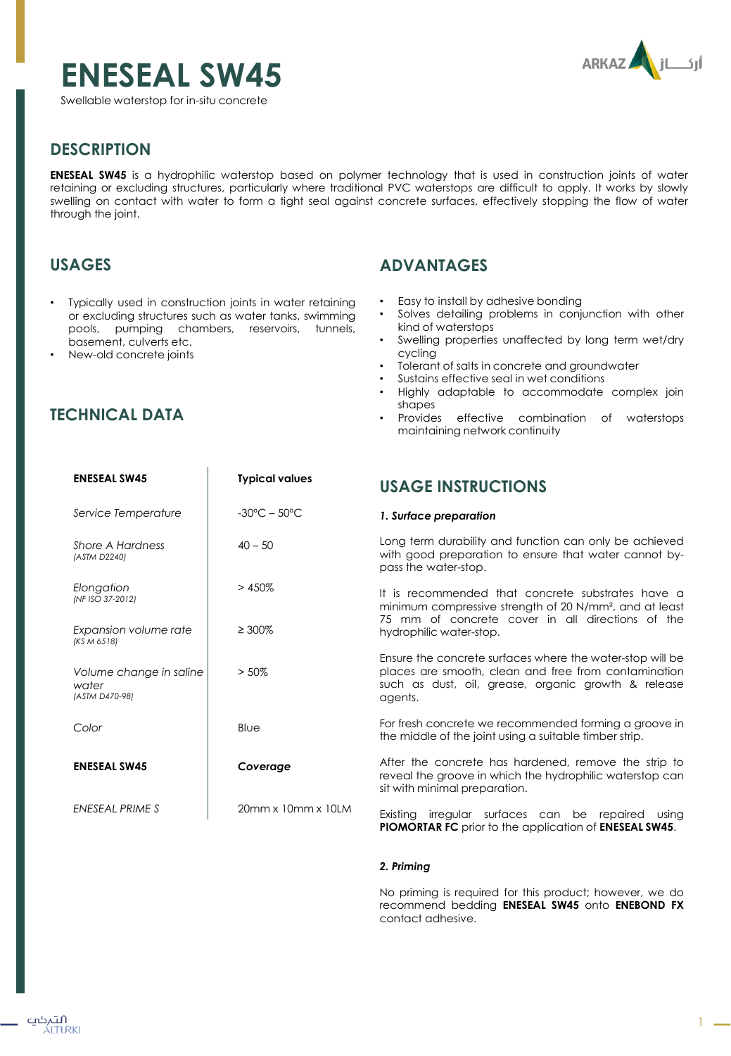# **ENESEAL SW45**

Swellable waterstop for in-situ concrete



## **DESCRIPTION**

**ENESEAL SW45** is a hydrophilic waterstop based on polymer technology that is used in construction joints of water retaining or excluding structures, particularly where traditional PVC waterstops are difficult to apply. It works by slowly swelling on contact with water to form a tight seal against concrete surfaces, effectively stopping the flow of water through the joint.

## **USAGES**

• Typically used in construction joints in water retaining or excluding structures such as water tanks, swimming pools, pumping chambers, reservoirs, tunnels, basement, culverts etc.

 $\overline{1}$ 

• New-old concrete joints

## **TECHNICAL DATA**

## **ADVANTAGES**

- Easy to install by adhesive bonding
- Solves detailing problems in conjunction with other kind of waterstops
- Swelling properties unaffected by long term wet/dry cycling
- Tolerant of salts in concrete and groundwater
- Sustains effective seal in wet conditions
- Highly adaptable to accommodate complex join shapes
- Provides effective combination of waterstops maintaining network continuity

| <b>ENESEAL SW45</b>                                | <b>Typical values</b>             | <b>USAGE INSTRUCTIONS</b>                                                                                                                                                           |
|----------------------------------------------------|-----------------------------------|-------------------------------------------------------------------------------------------------------------------------------------------------------------------------------------|
| Service Temperature                                | $-30^{\circ}$ C – 50 $^{\circ}$ C | 1. Surface preparation                                                                                                                                                              |
| Shore A Hardness<br>(ASTM D2240)                   | $40 - 50$                         | Long term durability and function can only be achieved<br>with good preparation to ensure that water cannot by-<br>pass the water-stop.                                             |
| Elongation<br>(NF ISO 37-2012)                     | >450%                             | It is recommended that concrete substrates have a<br>minimum compressive strength of 20 N/mm <sup>2</sup> , and at least<br>75 mm of concrete cover in all directions of the        |
| Expansion volume rate<br>(KS M 6518)               | $\geq 300\%$                      | hydrophilic water-stop.                                                                                                                                                             |
| Volume change in saline<br>water<br>(ASTM D470-98) | $> 50\%$                          | Ensure the concrete surfaces where the water-stop will be<br>places are smooth, clean and free from contamination<br>such as dust, oil, grease, organic growth & release<br>agents. |
| Color                                              | Blue                              | For fresh concrete we recommended forming a groove in<br>the middle of the joint using a suitable timber strip.                                                                     |
| <b>ENESEAL SW45</b>                                | Coverage                          | After the concrete has hardened, remove the strip to<br>reveal the groove in which the hydrophilic waterstop can<br>sit with minimal preparation.                                   |
| ENESEAL PRIME S                                    | 20mm x 10mm x 10LM                | Existing irregular surfaces can be repaired<br>usina<br><b>PIOMORTAR FC</b> prior to the application of <b>ENESEAL SW45</b> .                                                       |

#### *2. Priming*

No priming is required for this product; however, we do recommend bedding **ENESEAL SW45** onto **ENEBOND FX** contact adhesive.